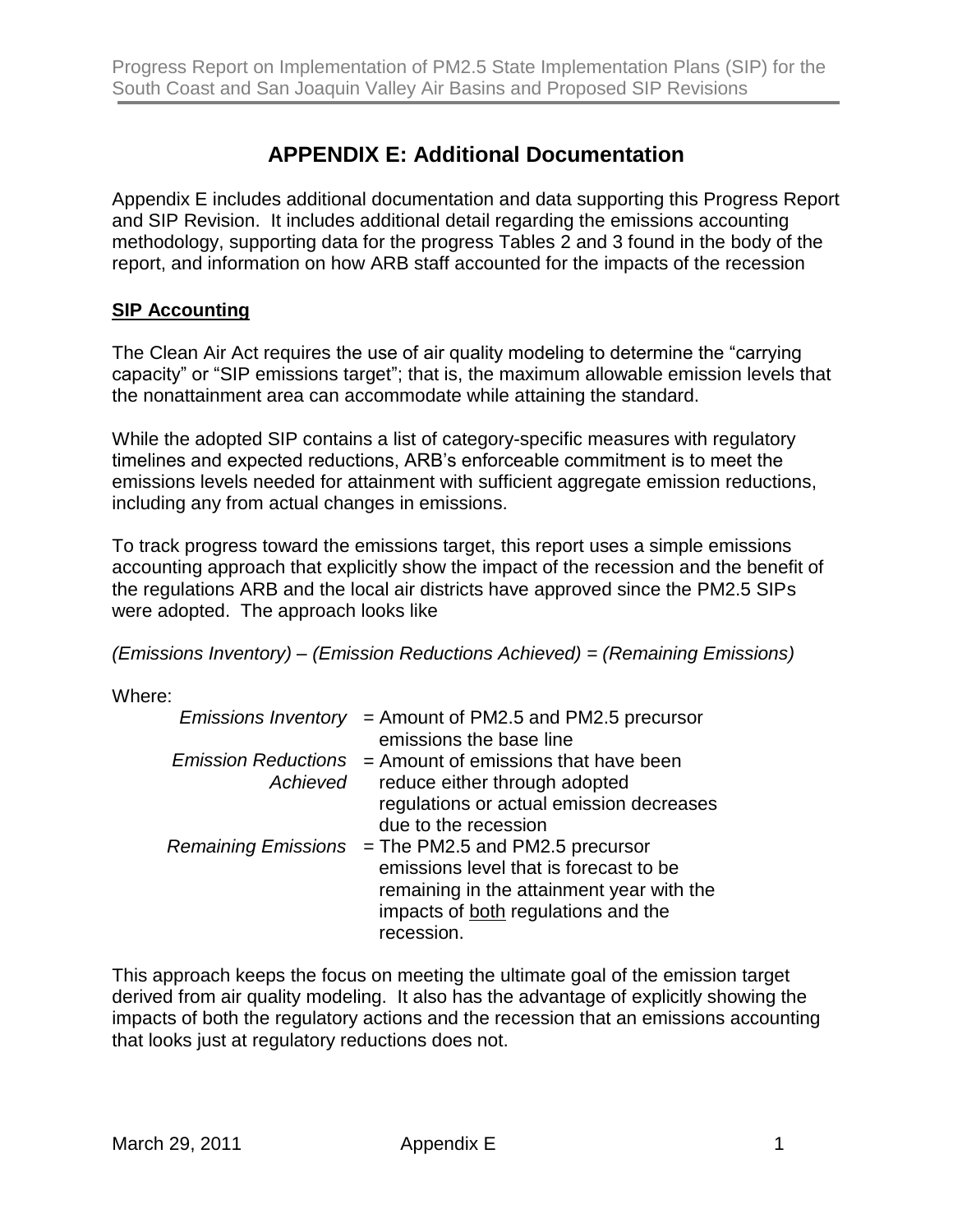# **APPENDIX E: Additional Documentation**

Appendix E includes additional documentation and data supporting this Progress Report and SIP Revision. It includes additional detail regarding the emissions accounting methodology, supporting data for the progress Tables 2 and 3 found in the body of the report, and information on how ARB staff accounted for the impacts of the recession

#### **SIP Accounting**

The Clean Air Act requires the use of air quality modeling to determine the "carrying capacity" or "SIP emissions target"; that is, the maximum allowable emission levels that the nonattainment area can accommodate while attaining the standard.

While the adopted SIP contains a list of category-specific measures with regulatory timelines and expected reductions, ARB's enforceable commitment is to meet the emissions levels needed for attainment with sufficient aggregate emission reductions, including any from actual changes in emissions.

To track progress toward the emissions target, this report uses a simple emissions accounting approach that explicitly show the impact of the recession and the benefit of the regulations ARB and the local air districts have approved since the PM2.5 SIPs were adopted. The approach looks like

*(Emissions Inventory) – (Emission Reductions Achieved) = (Remaining Emissions)*

Where:

|          | <i>Emissions Inventory</i> = Amount of PM2.5 and PM2.5 precursor  |
|----------|-------------------------------------------------------------------|
|          | emissions the base line                                           |
|          | <i>Emission Reductions</i> $=$ Amount of emissions that have been |
| Achieved | reduce either through adopted                                     |
|          | regulations or actual emission decreases                          |
|          | due to the recession                                              |
|          | Remaining Emissions $=$ The PM2.5 and PM2.5 precursor             |
|          | emissions level that is forecast to be                            |
|          | remaining in the attainment year with the                         |
|          | impacts of both regulations and the                               |
|          | recession.                                                        |

This approach keeps the focus on meeting the ultimate goal of the emission target derived from air quality modeling. It also has the advantage of explicitly showing the impacts of both the regulatory actions and the recession that an emissions accounting that looks just at regulatory reductions does not.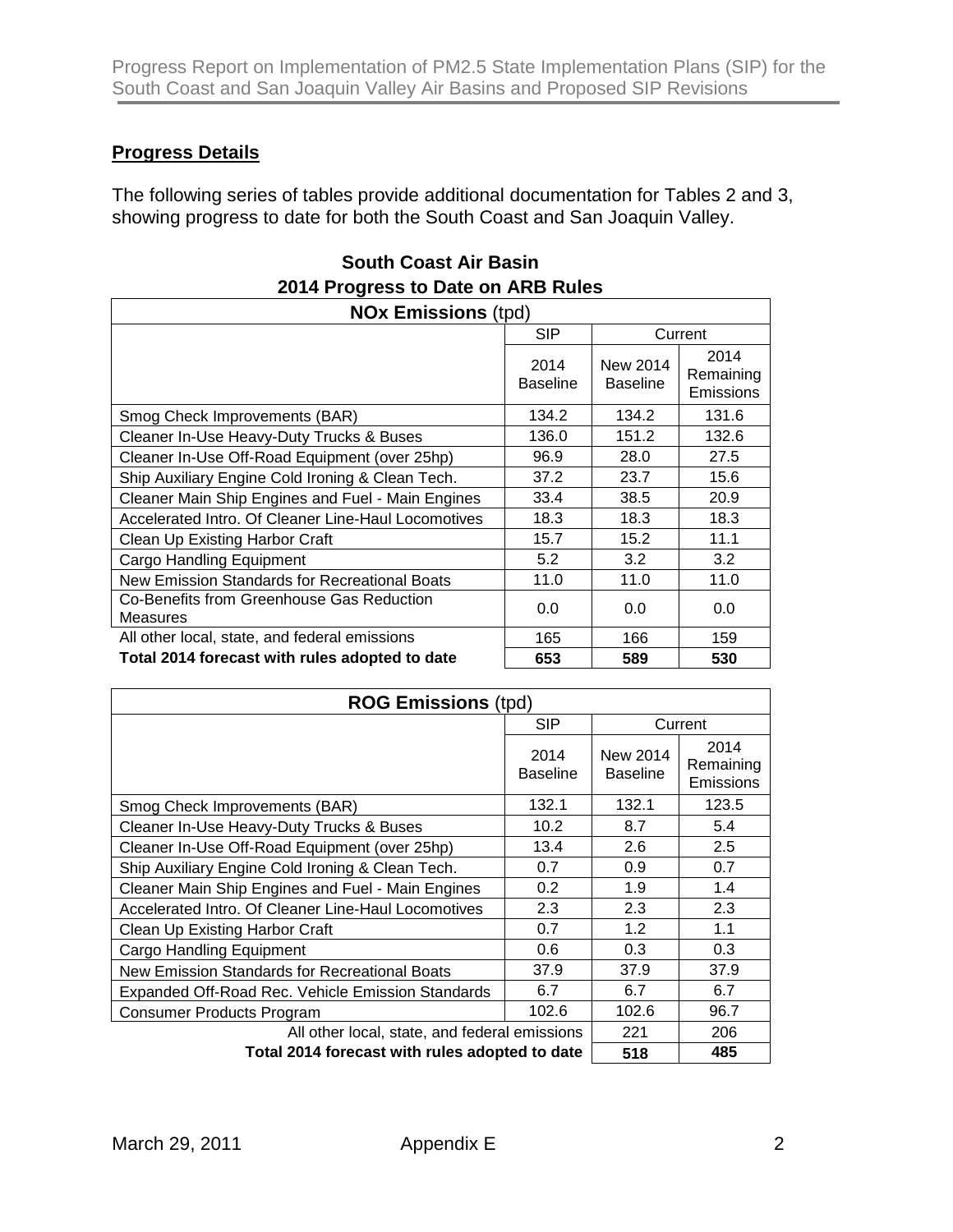### **Progress Details**

The following series of tables provide additional documentation for Tables 2 and 3, showing progress to date for both the South Coast and San Joaquin Valley.

| 2014 Progress to Date on ARB Rules                           |                         |                             |                                |
|--------------------------------------------------------------|-------------------------|-----------------------------|--------------------------------|
| <b>NOx Emissions (tpd)</b>                                   |                         |                             |                                |
|                                                              | <b>SIP</b>              | Current                     |                                |
|                                                              | 2014<br><b>Baseline</b> | New 2014<br><b>Baseline</b> | 2014<br>Remaining<br>Emissions |
| Smog Check Improvements (BAR)                                | 134.2                   | 134.2                       | 131.6                          |
| Cleaner In-Use Heavy-Duty Trucks & Buses                     | 136.0                   | 151.2                       | 132.6                          |
| Cleaner In-Use Off-Road Equipment (over 25hp)                | 96.9                    | 28.0                        | 27.5                           |
| Ship Auxiliary Engine Cold Ironing & Clean Tech.             | 37.2                    | 23.7                        | 15.6                           |
| Cleaner Main Ship Engines and Fuel - Main Engines            | 33.4                    | 38.5                        | 20.9                           |
| Accelerated Intro. Of Cleaner Line-Haul Locomotives          | 18.3                    | 18.3                        | 18.3                           |
| Clean Up Existing Harbor Craft                               | 15.7                    | 15.2                        | 11.1                           |
| <b>Cargo Handling Equipment</b>                              | 5.2                     | 3.2                         | 3.2                            |
| New Emission Standards for Recreational Boats                | 11.0                    | 11.0                        | 11.0                           |
| Co-Benefits from Greenhouse Gas Reduction<br><b>Measures</b> | 0.0                     | 0.0                         | 0.0                            |
| All other local, state, and federal emissions                | 165                     | 166                         | 159                            |
| Total 2014 forecast with rules adopted to date               | 653                     | 589                         | 530                            |

| <b>South Coast Air Basin</b>       |
|------------------------------------|
| 2014 Progress to Date on ARB Rules |

| <b>ROG Emissions (tpd)</b>                          |                         |                             |                                |
|-----------------------------------------------------|-------------------------|-----------------------------|--------------------------------|
|                                                     | <b>SIP</b>              |                             | Current                        |
|                                                     | 2014<br><b>Baseline</b> | New 2014<br><b>Baseline</b> | 2014<br>Remaining<br>Emissions |
| Smog Check Improvements (BAR)                       | 132.1                   | 132.1                       | 123.5                          |
| Cleaner In-Use Heavy-Duty Trucks & Buses            | 10.2 <sub>2</sub>       | 8.7                         | 5.4                            |
| Cleaner In-Use Off-Road Equipment (over 25hp)       | 13.4                    | 2.6                         | 2.5                            |
| Ship Auxiliary Engine Cold Ironing & Clean Tech.    | 0.7                     | 0.9                         | 0.7                            |
| Cleaner Main Ship Engines and Fuel - Main Engines   | 0.2                     | 1.9                         | 1.4                            |
| Accelerated Intro. Of Cleaner Line-Haul Locomotives | 2.3                     | 2.3                         | 2.3                            |
| Clean Up Existing Harbor Craft                      | 0.7                     | 1.2                         | 1.1                            |
| <b>Cargo Handling Equipment</b>                     | 0.6                     | 0.3                         | 0.3                            |
| New Emission Standards for Recreational Boats       | 37.9                    | 37.9                        | 37.9                           |
| Expanded Off-Road Rec. Vehicle Emission Standards   | 6.7                     | 6.7                         | 6.7                            |
| <b>Consumer Products Program</b>                    | 102.6                   | 102.6                       | 96.7                           |
| All other local, state, and federal emissions       |                         | 221                         | 206                            |
| Total 2014 forecast with rules adopted to date      |                         | 518                         | 485                            |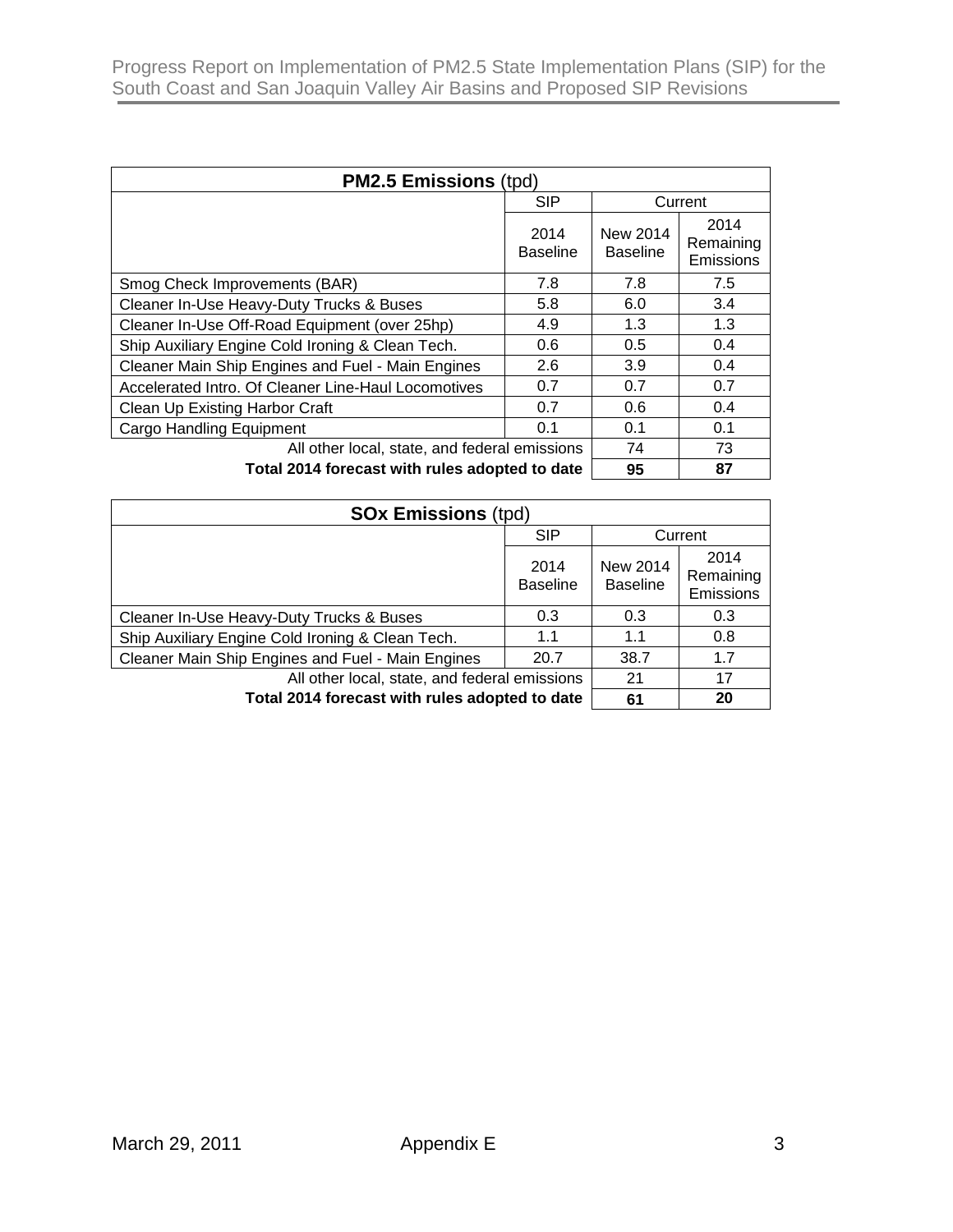| <b>PM2.5 Emissions (tpd)</b>                        |                         |                             |                                |
|-----------------------------------------------------|-------------------------|-----------------------------|--------------------------------|
|                                                     | <b>SIP</b>              |                             | Current                        |
|                                                     | 2014<br><b>Baseline</b> | New 2014<br><b>Baseline</b> | 2014<br>Remaining<br>Emissions |
| Smog Check Improvements (BAR)                       | 7.8                     | 7.8                         | 7.5                            |
| Cleaner In-Use Heavy-Duty Trucks & Buses            | 5.8                     | 6.0                         | 3.4                            |
| Cleaner In-Use Off-Road Equipment (over 25hp)       | 4.9                     | 1.3                         | 1.3                            |
| Ship Auxiliary Engine Cold Ironing & Clean Tech.    | 0.6                     | 0.5                         | 0.4                            |
| Cleaner Main Ship Engines and Fuel - Main Engines   | 2.6                     | 3.9                         | 0.4                            |
| Accelerated Intro. Of Cleaner Line-Haul Locomotives | 0.7                     | 0.7                         | 0.7                            |
| Clean Up Existing Harbor Craft                      | 0.7                     | 0.6                         | 0.4                            |
| <b>Cargo Handling Equipment</b>                     | 0.1                     | 0.1                         | 0.1                            |
| All other local, state, and federal emissions       |                         | 74                          | 73                             |
| Total 2014 forecast with rules adopted to date      |                         | 95                          | 87                             |

| <b>SOx Emissions (tpd)</b>                        |                         |                             |                                |
|---------------------------------------------------|-------------------------|-----------------------------|--------------------------------|
|                                                   | <b>SIP</b>              |                             | Current                        |
|                                                   | 2014<br><b>Baseline</b> | New 2014<br><b>Baseline</b> | 2014<br>Remaining<br>Emissions |
| Cleaner In-Use Heavy-Duty Trucks & Buses          | 0.3                     | 0.3                         | 0.3                            |
| Ship Auxiliary Engine Cold Ironing & Clean Tech.  | 1.1                     | 1.1                         | 0.8                            |
| Cleaner Main Ship Engines and Fuel - Main Engines | 20.7                    | 38.7                        | 1.7                            |
| All other local, state, and federal emissions     |                         | 21                          | 17                             |
| Total 2014 forecast with rules adopted to date    |                         | 61                          | 20                             |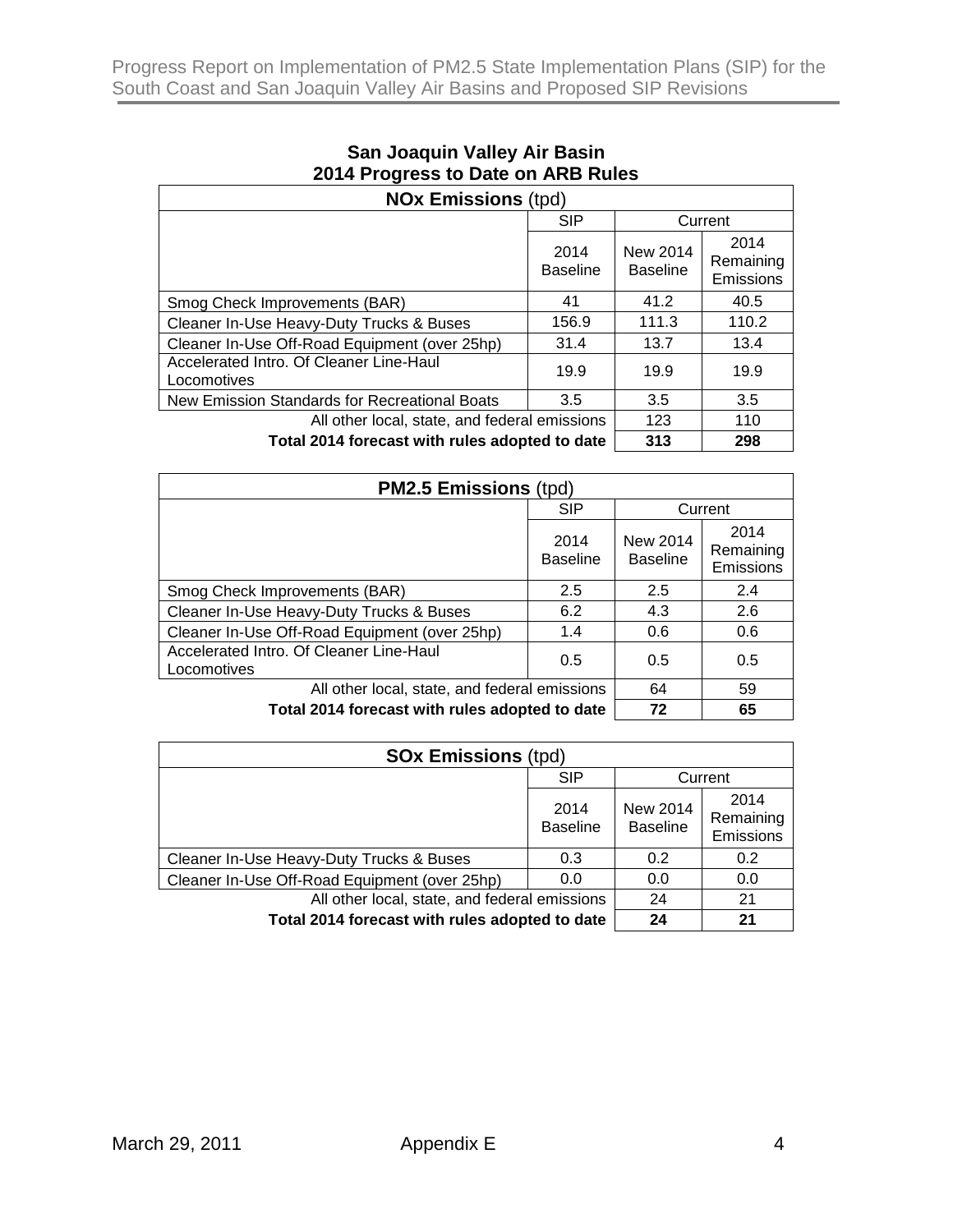| <b>NOx Emissions (tpd)</b>                             |                         |                             |                                |
|--------------------------------------------------------|-------------------------|-----------------------------|--------------------------------|
|                                                        | <b>SIP</b>              | Current                     |                                |
|                                                        | 2014<br><b>Baseline</b> | New 2014<br><b>Baseline</b> | 2014<br>Remaining<br>Emissions |
| Smog Check Improvements (BAR)                          | 41                      | 41.2                        | 40.5                           |
| Cleaner In-Use Heavy-Duty Trucks & Buses               | 156.9                   | 111.3                       | 110.2                          |
| Cleaner In-Use Off-Road Equipment (over 25hp)          | 31.4                    | 13.7                        | 13.4                           |
| Accelerated Intro. Of Cleaner Line-Haul<br>Locomotives | 19.9                    | 19.9                        | 19.9                           |
| New Emission Standards for Recreational Boats          | 3.5                     | 3.5                         | 3.5                            |
| All other local, state, and federal emissions          |                         | 123                         | 110                            |
| Total 2014 forecast with rules adopted to date         |                         | 313                         | 298                            |

# **San Joaquin Valley Air Basin 2014 Progress to Date on ARB Rules**

| <b>PM2.5 Emissions (tpd)</b>                           |                         |                             |                                |
|--------------------------------------------------------|-------------------------|-----------------------------|--------------------------------|
|                                                        | <b>SIP</b>              |                             | Current                        |
|                                                        | 2014<br><b>Baseline</b> | New 2014<br><b>Baseline</b> | 2014<br>Remaining<br>Emissions |
| Smog Check Improvements (BAR)                          | 2.5                     | 2.5                         | 2.4                            |
| Cleaner In-Use Heavy-Duty Trucks & Buses               | 6.2                     | 4.3                         | 2.6                            |
| Cleaner In-Use Off-Road Equipment (over 25hp)          | 1.4                     | 0.6                         | 0.6                            |
| Accelerated Intro. Of Cleaner Line-Haul<br>Locomotives | 0.5                     | 0.5                         | 0.5                            |
| All other local, state, and federal emissions          |                         | 64                          | 59                             |
| Total 2014 forecast with rules adopted to date         |                         | 72                          | 65                             |

| <b>SOx Emissions (tpd)</b>                     |                         |                                    |                                |
|------------------------------------------------|-------------------------|------------------------------------|--------------------------------|
|                                                | <b>SIP</b>              |                                    | Current                        |
|                                                | 2014<br><b>Baseline</b> | <b>New 2014</b><br><b>Baseline</b> | 2014<br>Remaining<br>Emissions |
| Cleaner In-Use Heavy-Duty Trucks & Buses       | 0.3                     | 0.2                                | 0.2                            |
| Cleaner In-Use Off-Road Equipment (over 25hp)  | 0.0                     | 0.0                                | 0.0                            |
| All other local, state, and federal emissions  |                         | 24                                 | 21                             |
| Total 2014 forecast with rules adopted to date |                         | 24                                 | 21                             |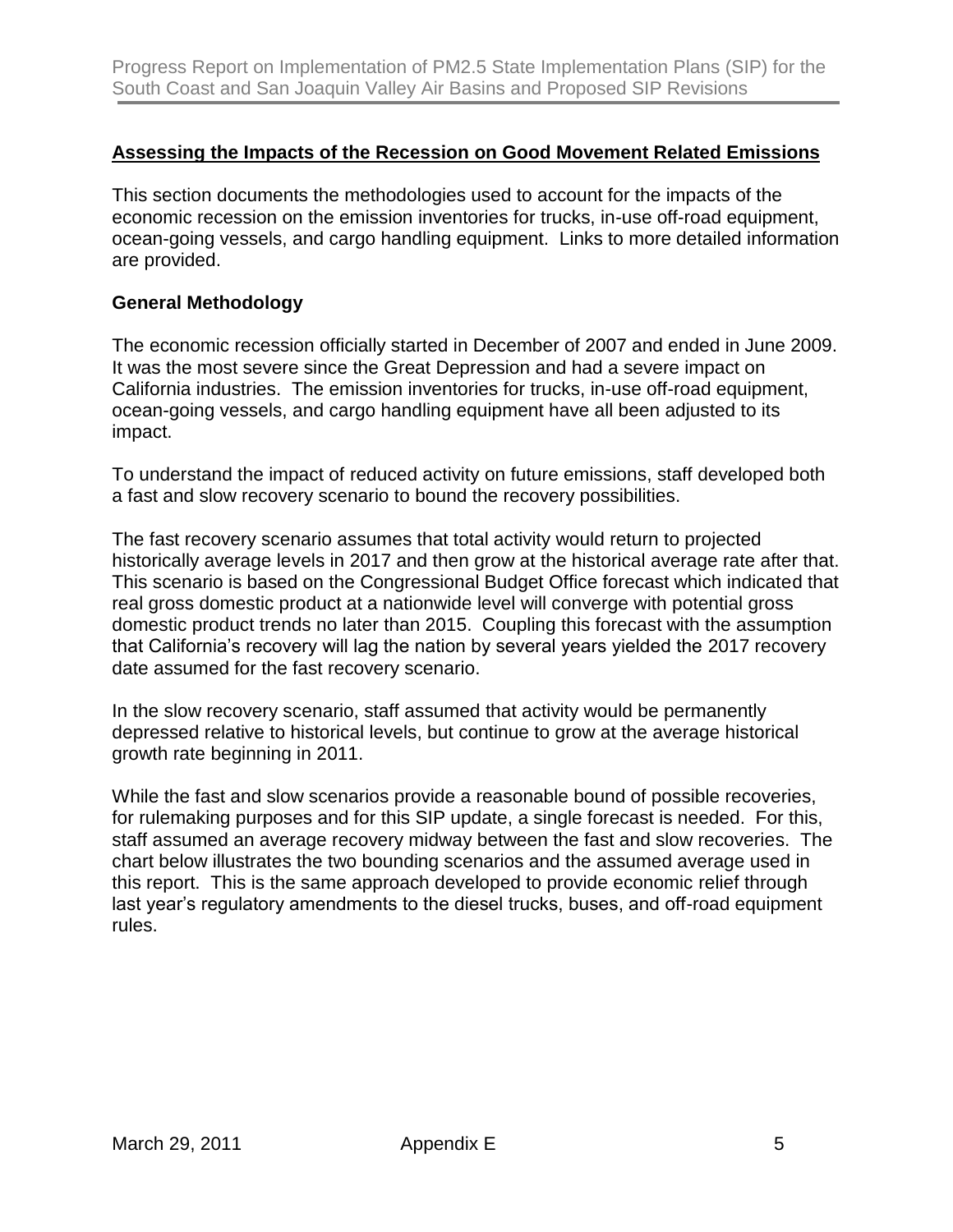#### **Assessing the Impacts of the Recession on Good Movement Related Emissions**

This section documents the methodologies used to account for the impacts of the economic recession on the emission inventories for trucks, in-use off-road equipment, ocean-going vessels, and cargo handling equipment. Links to more detailed information are provided.

#### **General Methodology**

The economic recession officially started in December of 2007 and ended in June 2009. It was the most severe since the Great Depression and had a severe impact on California industries. The emission inventories for trucks, in-use off-road equipment, ocean-going vessels, and cargo handling equipment have all been adjusted to its impact.

To understand the impact of reduced activity on future emissions, staff developed both a fast and slow recovery scenario to bound the recovery possibilities.

The fast recovery scenario assumes that total activity would return to projected historically average levels in 2017 and then grow at the historical average rate after that. This scenario is based on the Congressional Budget Office forecast which indicated that real gross domestic product at a nationwide level will converge with potential gross domestic product trends no later than 2015. Coupling this forecast with the assumption that California's recovery will lag the nation by several years yielded the 2017 recovery date assumed for the fast recovery scenario.

In the slow recovery scenario, staff assumed that activity would be permanently depressed relative to historical levels, but continue to grow at the average historical growth rate beginning in 2011.

While the fast and slow scenarios provide a reasonable bound of possible recoveries, for rulemaking purposes and for this SIP update, a single forecast is needed. For this, staff assumed an average recovery midway between the fast and slow recoveries. The chart below illustrates the two bounding scenarios and the assumed average used in this report. This is the same approach developed to provide economic relief through last year's regulatory amendments to the diesel trucks, buses, and off-road equipment rules.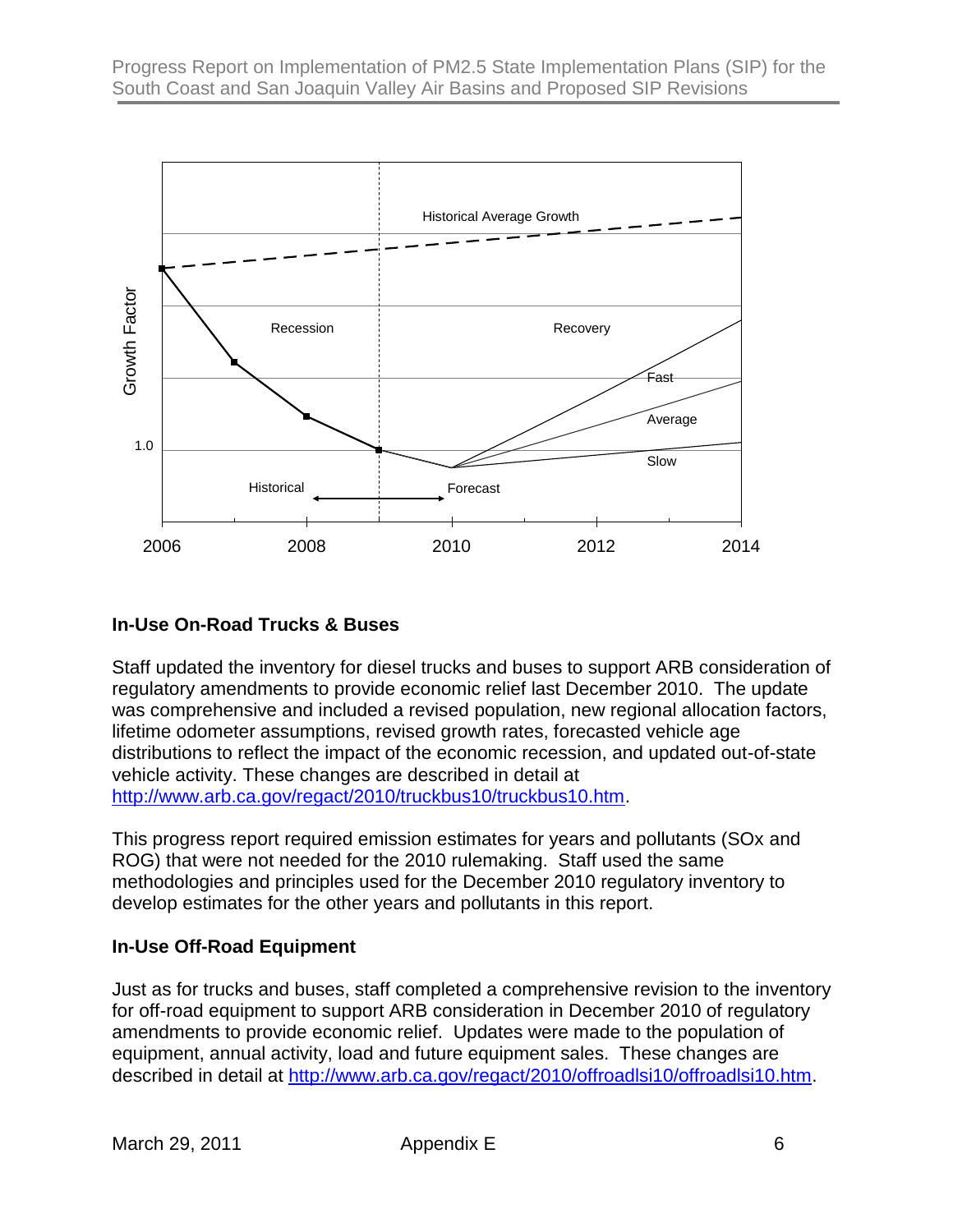

#### **In-Use On-Road Trucks & Buses**

Staff updated the inventory for diesel trucks and buses to support ARB consideration of regulatory amendments to provide economic relief last December 2010. The update was comprehensive and included a revised population, new regional allocation factors, lifetime odometer assumptions, revised growth rates, forecasted vehicle age distributions to reflect the impact of the economic recession, and updated out-of-state vehicle activity. These changes are described in detail at [http://www.arb.ca.gov/regact/2010/truckbus10/truckbus10.htm.](http://www.arb.ca.gov/regact/2010/truckbus10/truckbus10.htm)

This progress report required emission estimates for years and pollutants (SOx and ROG) that were not needed for the 2010 rulemaking. Staff used the same methodologies and principles used for the December 2010 regulatory inventory to develop estimates for the other years and pollutants in this report.

#### **In-Use Off-Road Equipment**

Just as for trucks and buses, staff completed a comprehensive revision to the inventory for off-road equipment to support ARB consideration in December 2010 of regulatory amendments to provide economic relief. Updates were made to the population of equipment, annual activity, load and future equipment sales. These changes are described in detail at [http://www.arb.ca.gov/regact/2010/offroadlsi10/offroadlsi10.htm.](http://www.arb.ca.gov/regact/2010/offroadlsi10/offroadlsi10.htm)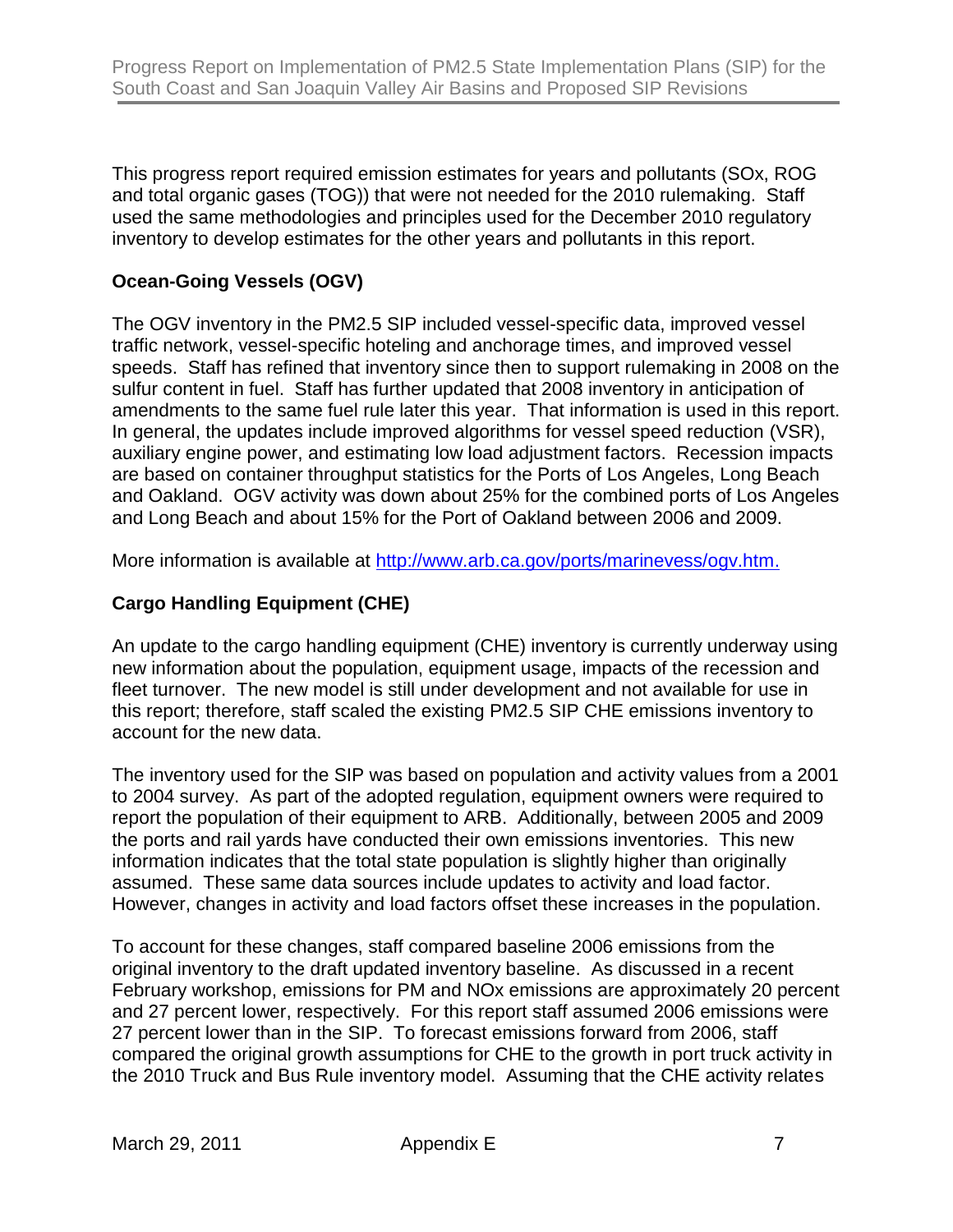This progress report required emission estimates for years and pollutants (SOx, ROG and total organic gases (TOG)) that were not needed for the 2010 rulemaking. Staff used the same methodologies and principles used for the December 2010 regulatory inventory to develop estimates for the other years and pollutants in this report.

# **Ocean-Going Vessels (OGV)**

The OGV inventory in the PM2.5 SIP included vessel-specific data, improved vessel traffic network, vessel-specific hoteling and anchorage times, and improved vessel speeds. Staff has refined that inventory since then to support rulemaking in 2008 on the sulfur content in fuel. Staff has further updated that 2008 inventory in anticipation of amendments to the same fuel rule later this year. That information is used in this report. In general, the updates include improved algorithms for vessel speed reduction (VSR), auxiliary engine power, and estimating low load adjustment factors. Recession impacts are based on container throughput statistics for the Ports of Los Angeles, Long Beach and Oakland. OGV activity was down about 25% for the combined ports of Los Angeles and Long Beach and about 15% for the Port of Oakland between 2006 and 2009.

More information is available at [http://www.arb.ca.gov/ports/marinevess/ogv.htm.](http://www.arb.ca.gov/ports/marinevess/ogv.htm)

## **Cargo Handling Equipment (CHE)**

An update to the cargo handling equipment (CHE) inventory is currently underway using new information about the population, equipment usage, impacts of the recession and fleet turnover. The new model is still under development and not available for use in this report; therefore, staff scaled the existing PM2.5 SIP CHE emissions inventory to account for the new data.

The inventory used for the SIP was based on population and activity values from a 2001 to 2004 survey. As part of the adopted regulation, equipment owners were required to report the population of their equipment to ARB. Additionally, between 2005 and 2009 the ports and rail yards have conducted their own emissions inventories. This new information indicates that the total state population is slightly higher than originally assumed. These same data sources include updates to activity and load factor. However, changes in activity and load factors offset these increases in the population.

To account for these changes, staff compared baseline 2006 emissions from the original inventory to the draft updated inventory baseline. As discussed in a recent February workshop, emissions for PM and NOx emissions are approximately 20 percent and 27 percent lower, respectively. For this report staff assumed 2006 emissions were 27 percent lower than in the SIP. To forecast emissions forward from 2006, staff compared the original growth assumptions for CHE to the growth in port truck activity in the 2010 Truck and Bus Rule inventory model. Assuming that the CHE activity relates